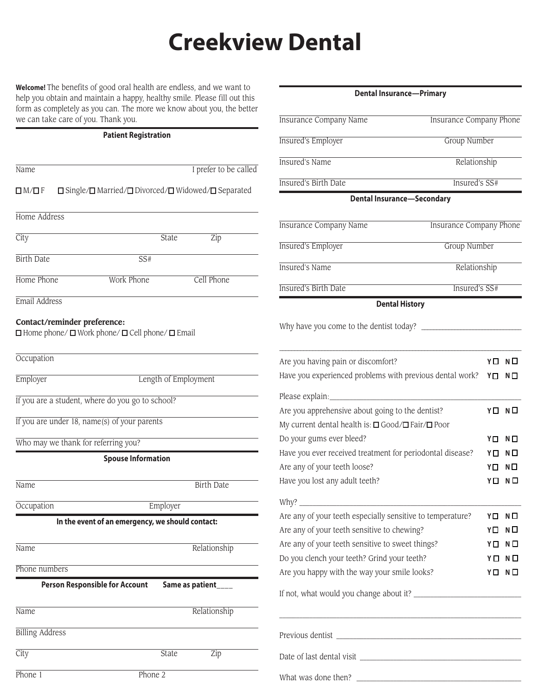## **Creekview Dental**

**Welcome!** The benefits of good oral health are endless, and we want to help you obtain and maintain a happy, healthy smile. Please fill out this form as completely as you can. The more we know about you, the better we can take care of you. Thank you.

## **Patient Registration**

| Name                                |                                                                                                 | I prefer to be called |
|-------------------------------------|-------------------------------------------------------------------------------------------------|-----------------------|
| $\square$ M/ $\square$ F            | $\square$ Single/ $\square$ Married/ $\square$ Divorced/ $\square$ Widowed/ $\square$ Separated |                       |
| Home Address                        |                                                                                                 |                       |
| City                                | State                                                                                           | Zip                   |
| <b>Birth Date</b>                   | SS#                                                                                             |                       |
| Home Phone                          | <b>Work Phone</b>                                                                               | Cell Phone            |
| Email Address                       |                                                                                                 |                       |
| Contact/reminder preference:        | $\Box$ Home phone/ $\Box$ Work phone/ $\Box$ Cell phone/ $\Box$ Email                           |                       |
| Occupation                          |                                                                                                 |                       |
| Employer                            |                                                                                                 | Length of Employment  |
|                                     | If you are a student, where do you go to school?                                                |                       |
|                                     | If you are under 18, name(s) of your parents                                                    |                       |
| Who may we thank for referring you? |                                                                                                 |                       |
|                                     | <b>Spouse Information</b>                                                                       |                       |
| Name                                |                                                                                                 | <b>Birth Date</b>     |
| Occupation                          | Employer                                                                                        |                       |
|                                     | In the event of an emergency, we should contact:                                                |                       |
| Name                                |                                                                                                 | Relationship          |
| Phone numbers                       |                                                                                                 |                       |
|                                     | <b>Person Responsible for Account</b>                                                           | Same as patient_      |
| Name                                |                                                                                                 | Relationship          |
| <b>Billing Address</b>              |                                                                                                 |                       |
| City                                | State                                                                                           | Zip                   |
| Phone $1$                           | Phone 2                                                                                         |                       |

| Dental Insurance—Primary                                                                              |                                |    |    |  |  |  |  |  |
|-------------------------------------------------------------------------------------------------------|--------------------------------|----|----|--|--|--|--|--|
| <b>Insurance Company Name</b>                                                                         | <b>Insurance Company Phone</b> |    |    |  |  |  |  |  |
| <b>Insured's Employer</b>                                                                             | Group Number                   |    |    |  |  |  |  |  |
| <b>Insured's Name</b>                                                                                 | Relationship                   |    |    |  |  |  |  |  |
| <b>Insured's Birth Date</b>                                                                           | Insured's SS#                  |    |    |  |  |  |  |  |
| <b>Dental Insurance-Secondary</b>                                                                     |                                |    |    |  |  |  |  |  |
| <b>Insurance Company Name</b>                                                                         | <b>Insurance Company Phone</b> |    |    |  |  |  |  |  |
| <b>Insured's Employer</b><br>Group Number                                                             |                                |    |    |  |  |  |  |  |
| <b>Insured's Name</b>                                                                                 | Relationship                   |    |    |  |  |  |  |  |
| <b>Insured's Birth Date</b>                                                                           | Insured's SS#                  |    |    |  |  |  |  |  |
| <b>Dental History</b>                                                                                 |                                |    |    |  |  |  |  |  |
| Why have you come to the dentist today?                                                               |                                |    |    |  |  |  |  |  |
| Are you having pain or discomfort?                                                                    |                                | YΠ | NΠ |  |  |  |  |  |
| Have you experienced problems with previous dental work?                                              |                                | YП | NΠ |  |  |  |  |  |
| Please explain:                                                                                       |                                |    |    |  |  |  |  |  |
| Are you apprehensive about going to the dentist?<br>My current dental health is: □ Good/□ Fair/□ Poor |                                | YO | NΠ |  |  |  |  |  |
| Do your gums ever bleed?                                                                              |                                | YП | NΠ |  |  |  |  |  |
| Have you ever received treatment for periodontal disease?                                             |                                | YΠ | NΠ |  |  |  |  |  |
| Are any of your teeth loose?                                                                          |                                | YП | NΠ |  |  |  |  |  |
| Have you lost any adult teeth?                                                                        |                                | YП | NО |  |  |  |  |  |
| Why?                                                                                                  |                                |    |    |  |  |  |  |  |
| Are any of your teeth especially sensitive to temperature?                                            |                                | YП | NΠ |  |  |  |  |  |
| Are any of your teeth sensitive to chewing?                                                           |                                | YΠ | NΠ |  |  |  |  |  |
| Are any of your teeth sensitive to sweet things?                                                      |                                | YO | NО |  |  |  |  |  |
| Do you clench your teeth? Grind your teeth?                                                           |                                | YП | NП |  |  |  |  |  |
| Are you happy with the way your smile looks?                                                          |                                | YΠ | NО |  |  |  |  |  |
|                                                                                                       |                                |    |    |  |  |  |  |  |
|                                                                                                       |                                |    |    |  |  |  |  |  |
|                                                                                                       |                                |    |    |  |  |  |  |  |
| What was done then?                                                                                   |                                |    |    |  |  |  |  |  |